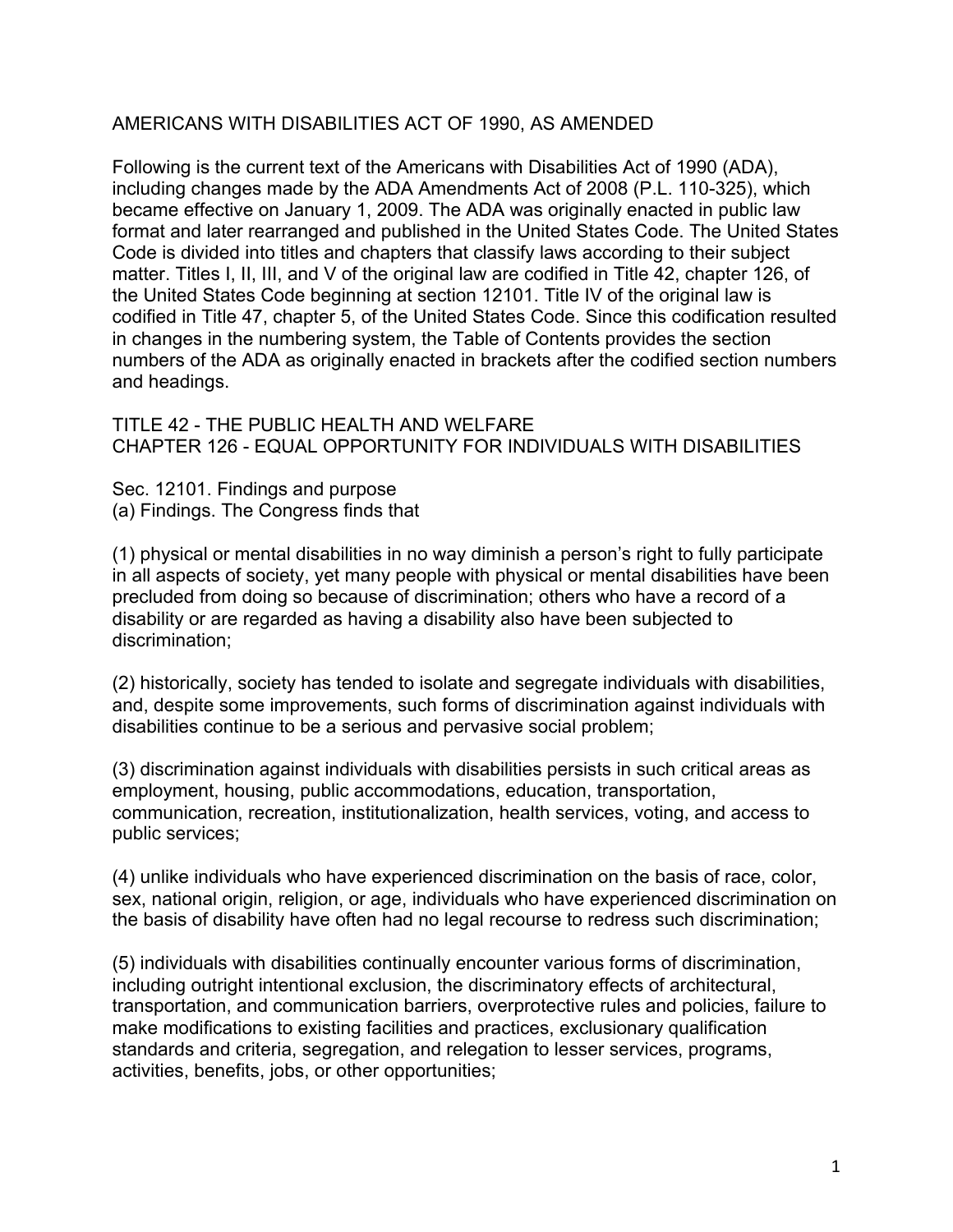## AMERICANS WITH DISABILITIES ACT OF 1990, AS AMENDED

Following is the current text of the Americans with Disabilities Act of 1990 (ADA), including changes made by the ADA Amendments Act of 2008 (P.L. 110-325), which became effective on January 1, 2009. The ADA was originally enacted in public law format and later rearranged and published in the United States Code. The United States Code is divided into titles and chapters that classify laws according to their subject matter. Titles I, II, III, and V of the original law are codified in Title 42, chapter 126, of the United States Code beginning at section 12101. Title IV of the original law is codified in Title 47, chapter 5, of the United States Code. Since this codification resulted in changes in the numbering system, the Table of Contents provides the section numbers of the ADA as originally enacted in brackets after the codified section numbers and headings.

TITLE 42 - THE PUBLIC HEALTH AND WELFARE CHAPTER 126 - EQUAL OPPORTUNITY FOR INDIVIDUALS WITH DISABILITIES

Sec. 12101. Findings and purpose (a) Findings. The Congress finds that

(1) physical or mental disabilities in no way diminish a person's right to fully participate in all aspects of society, yet many people with physical or mental disabilities have been precluded from doing so because of discrimination; others who have a record of a disability or are regarded as having a disability also have been subjected to discrimination;

(2) historically, society has tended to isolate and segregate individuals with disabilities, and, despite some improvements, such forms of discrimination against individuals with disabilities continue to be a serious and pervasive social problem;

(3) discrimination against individuals with disabilities persists in such critical areas as employment, housing, public accommodations, education, transportation, communication, recreation, institutionalization, health services, voting, and access to public services;

(4) unlike individuals who have experienced discrimination on the basis of race, color, sex, national origin, religion, or age, individuals who have experienced discrimination on the basis of disability have often had no legal recourse to redress such discrimination;

(5) individuals with disabilities continually encounter various forms of discrimination, including outright intentional exclusion, the discriminatory effects of architectural, transportation, and communication barriers, overprotective rules and policies, failure to make modifications to existing facilities and practices, exclusionary qualification standards and criteria, segregation, and relegation to lesser services, programs, activities, benefits, jobs, or other opportunities;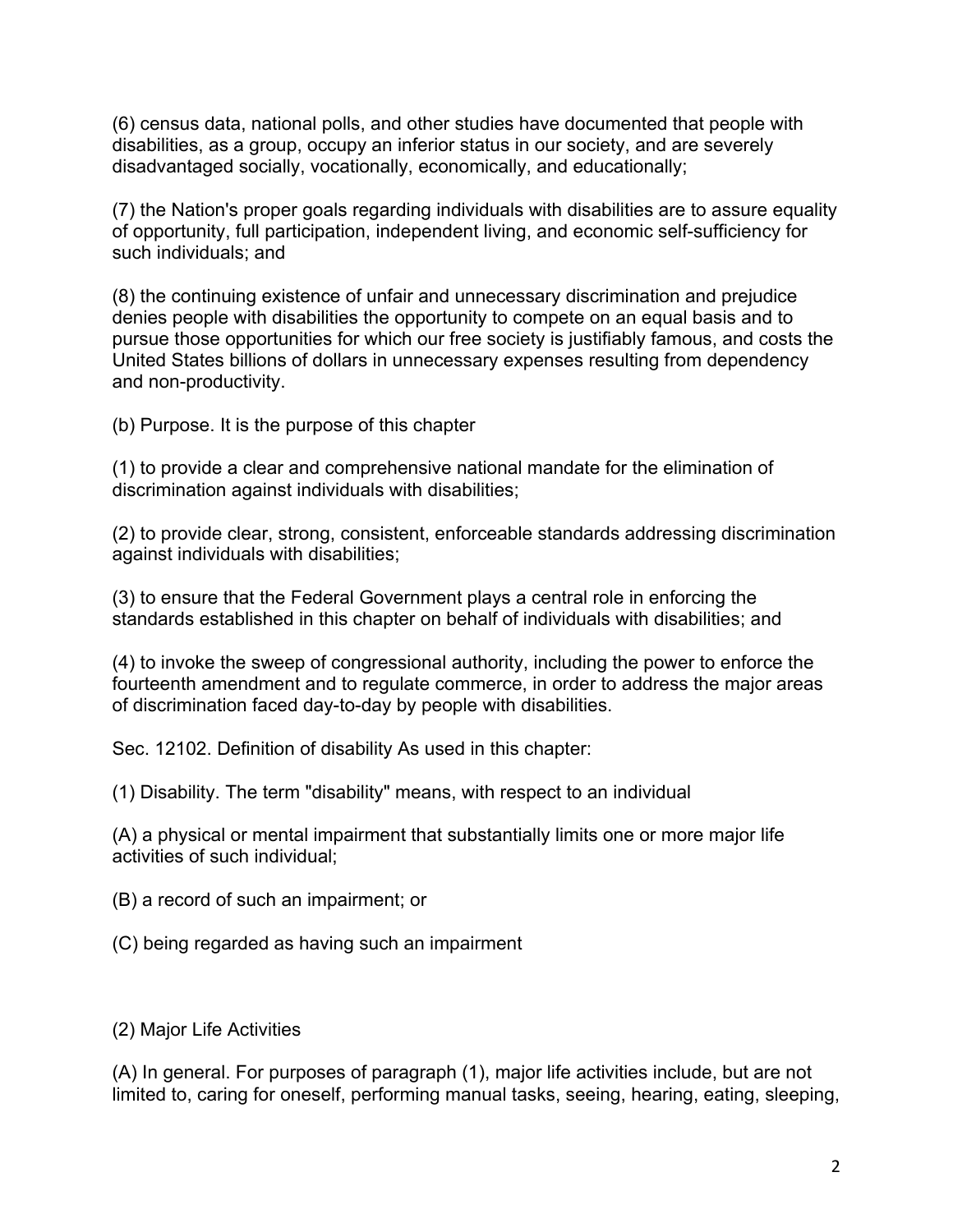(6) census data, national polls, and other studies have documented that people with disabilities, as a group, occupy an inferior status in our society, and are severely disadvantaged socially, vocationally, economically, and educationally;

(7) the Nation's proper goals regarding individuals with disabilities are to assure equality of opportunity, full participation, independent living, and economic self-sufficiency for such individuals; and

(8) the continuing existence of unfair and unnecessary discrimination and prejudice denies people with disabilities the opportunity to compete on an equal basis and to pursue those opportunities for which our free society is justifiably famous, and costs the United States billions of dollars in unnecessary expenses resulting from dependency and non-productivity.

(b) Purpose. It is the purpose of this chapter

(1) to provide a clear and comprehensive national mandate for the elimination of discrimination against individuals with disabilities;

(2) to provide clear, strong, consistent, enforceable standards addressing discrimination against individuals with disabilities;

(3) to ensure that the Federal Government plays a central role in enforcing the standards established in this chapter on behalf of individuals with disabilities; and

(4) to invoke the sweep of congressional authority, including the power to enforce the fourteenth amendment and to regulate commerce, in order to address the major areas of discrimination faced day-to-day by people with disabilities.

Sec. 12102. Definition of disability As used in this chapter:

(1) Disability. The term "disability" means, with respect to an individual

(A) a physical or mental impairment that substantially limits one or more major life activities of such individual;

- (B) a record of such an impairment; or
- (C) being regarded as having such an impairment

## (2) Major Life Activities

(A) In general. For purposes of paragraph (1), major life activities include, but are not limited to, caring for oneself, performing manual tasks, seeing, hearing, eating, sleeping,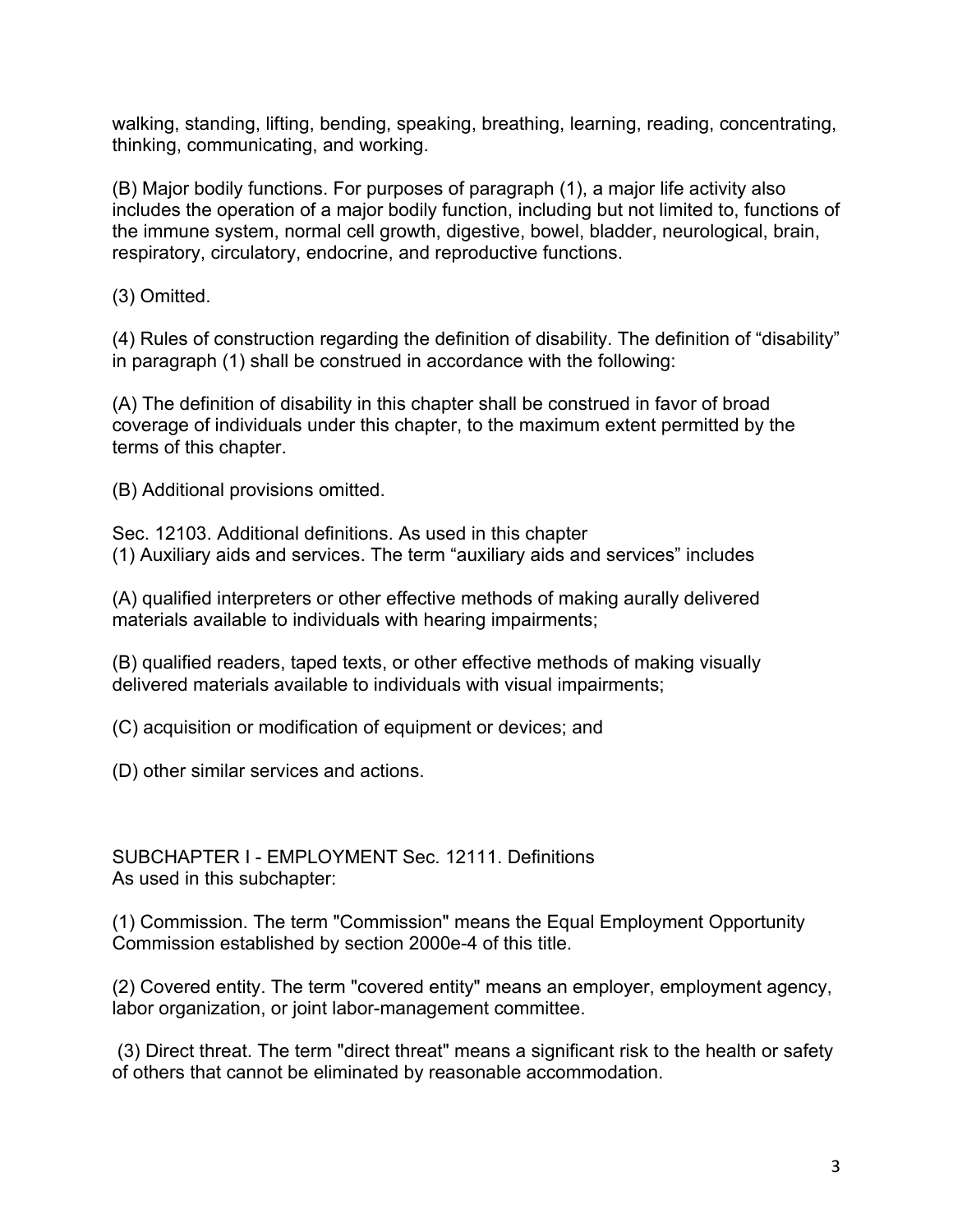walking, standing, lifting, bending, speaking, breathing, learning, reading, concentrating, thinking, communicating, and working.

(B) Major bodily functions. For purposes of paragraph (1), a major life activity also includes the operation of a major bodily function, including but not limited to, functions of the immune system, normal cell growth, digestive, bowel, bladder, neurological, brain, respiratory, circulatory, endocrine, and reproductive functions.

(3) Omitted.

(4) Rules of construction regarding the definition of disability. The definition of "disability" in paragraph (1) shall be construed in accordance with the following:

(A) The definition of disability in this chapter shall be construed in favor of broad coverage of individuals under this chapter, to the maximum extent permitted by the terms of this chapter.

(B) Additional provisions omitted.

Sec. 12103. Additional definitions. As used in this chapter (1) Auxiliary aids and services. The term "auxiliary aids and services" includes

(A) qualified interpreters or other effective methods of making aurally delivered materials available to individuals with hearing impairments;

(B) qualified readers, taped texts, or other effective methods of making visually delivered materials available to individuals with visual impairments;

(C) acquisition or modification of equipment or devices; and

(D) other similar services and actions.

SUBCHAPTER I - EMPLOYMENT Sec. 12111. Definitions As used in this subchapter:

(1) Commission. The term "Commission" means the Equal Employment Opportunity Commission established by section 2000e-4 of this title.

(2) Covered entity. The term "covered entity" means an employer, employment agency, labor organization, or joint labor-management committee.

(3) Direct threat. The term "direct threat" means a significant risk to the health or safety of others that cannot be eliminated by reasonable accommodation.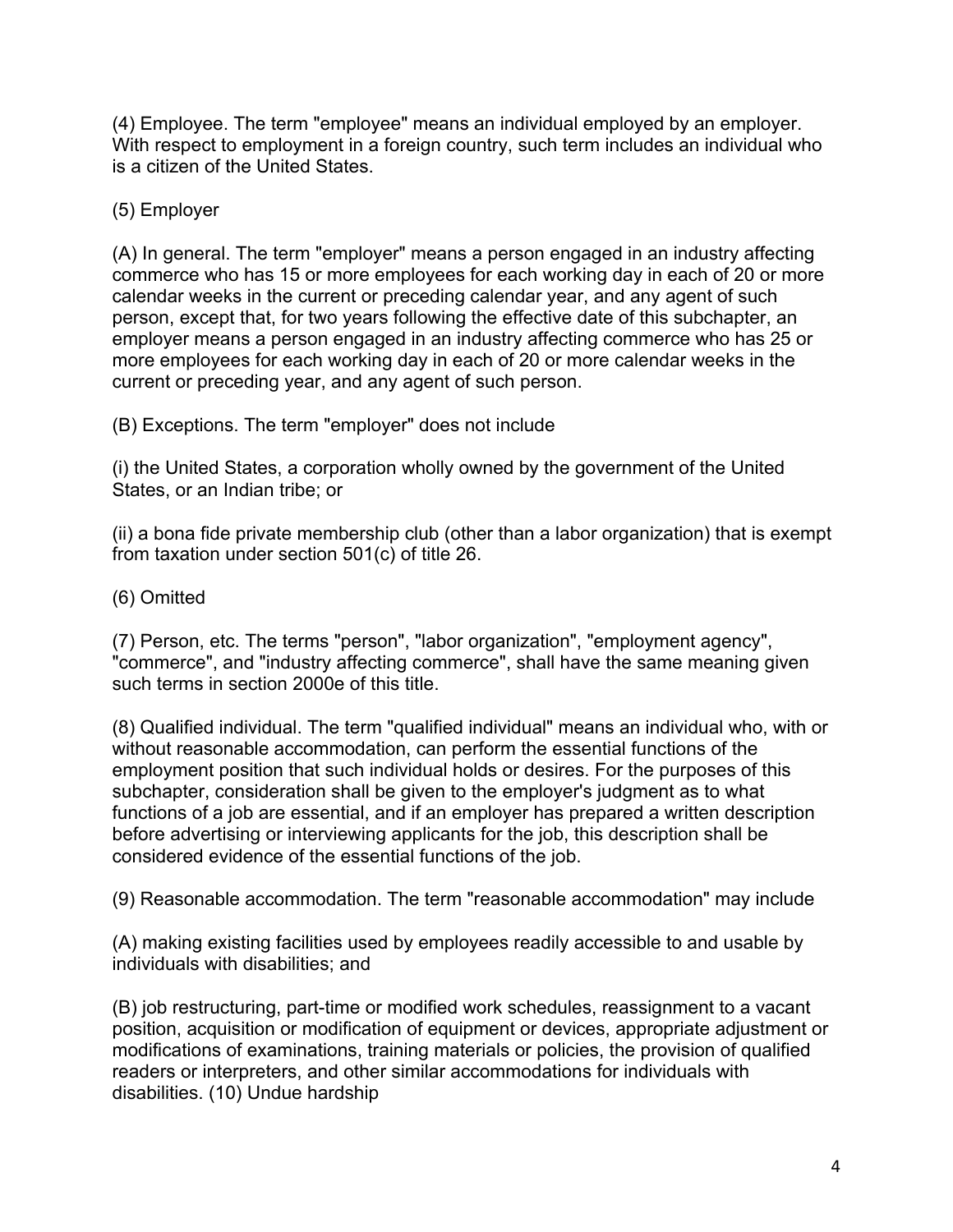(4) Employee. The term "employee" means an individual employed by an employer. With respect to employment in a foreign country, such term includes an individual who is a citizen of the United States.

## (5) Employer

(A) In general. The term "employer" means a person engaged in an industry affecting commerce who has 15 or more employees for each working day in each of 20 or more calendar weeks in the current or preceding calendar year, and any agent of such person, except that, for two years following the effective date of this subchapter, an employer means a person engaged in an industry affecting commerce who has 25 or more employees for each working day in each of 20 or more calendar weeks in the current or preceding year, and any agent of such person.

(B) Exceptions. The term "employer" does not include

(i) the United States, a corporation wholly owned by the government of the United States, or an Indian tribe; or

(ii) a bona fide private membership club (other than a labor organization) that is exempt from taxation under section 501(c) of title 26.

(6) Omitted

(7) Person, etc. The terms "person", "labor organization", "employment agency", "commerce", and "industry affecting commerce", shall have the same meaning given such terms in section 2000e of this title.

(8) Qualified individual. The term "qualified individual" means an individual who, with or without reasonable accommodation, can perform the essential functions of the employment position that such individual holds or desires. For the purposes of this subchapter, consideration shall be given to the employer's judgment as to what functions of a job are essential, and if an employer has prepared a written description before advertising or interviewing applicants for the job, this description shall be considered evidence of the essential functions of the job.

(9) Reasonable accommodation. The term "reasonable accommodation" may include

(A) making existing facilities used by employees readily accessible to and usable by individuals with disabilities; and

(B) job restructuring, part-time or modified work schedules, reassignment to a vacant position, acquisition or modification of equipment or devices, appropriate adjustment or modifications of examinations, training materials or policies, the provision of qualified readers or interpreters, and other similar accommodations for individuals with disabilities. (10) Undue hardship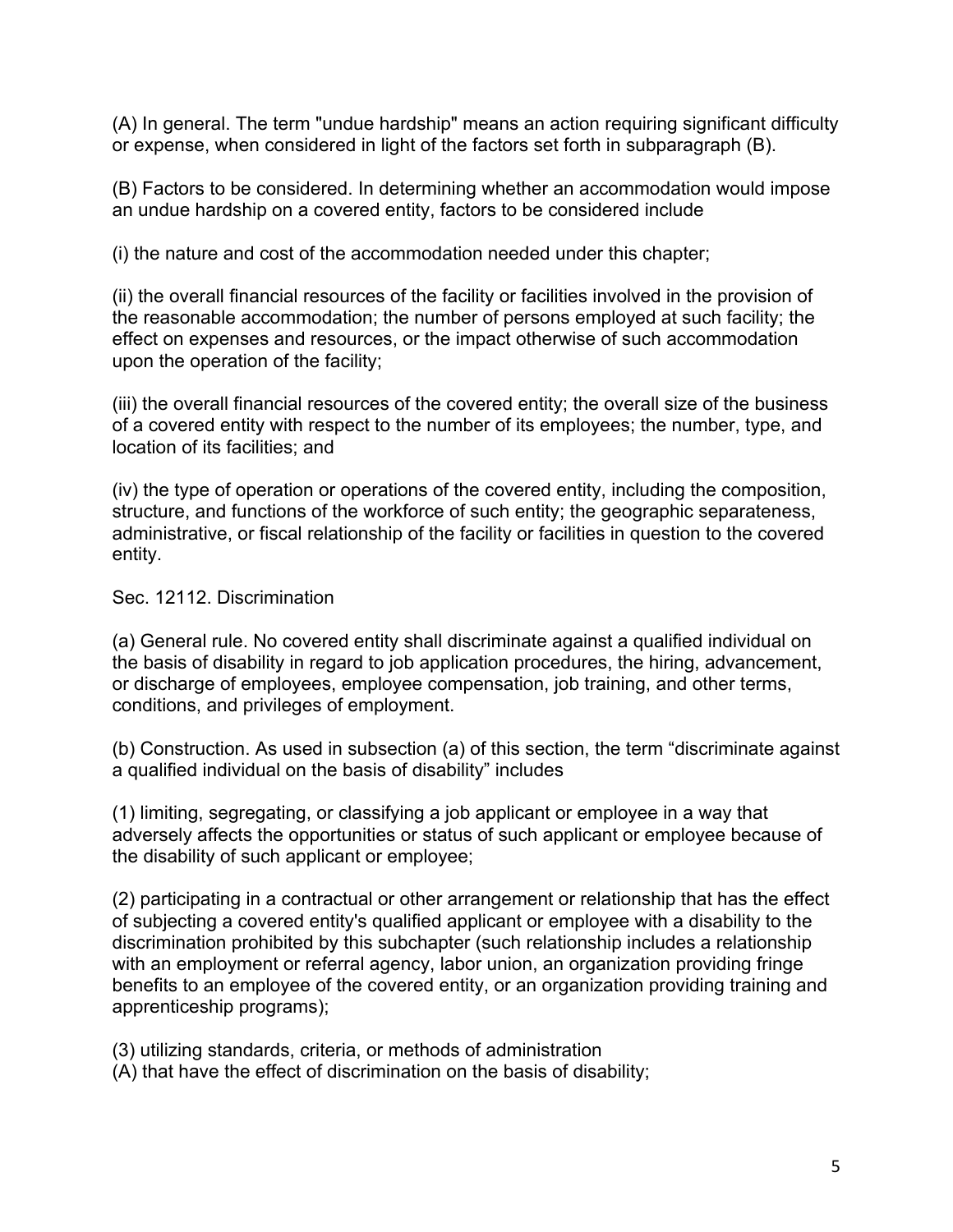(A) In general. The term "undue hardship" means an action requiring significant difficulty or expense, when considered in light of the factors set forth in subparagraph (B).

(B) Factors to be considered. In determining whether an accommodation would impose an undue hardship on a covered entity, factors to be considered include

(i) the nature and cost of the accommodation needed under this chapter;

(ii) the overall financial resources of the facility or facilities involved in the provision of the reasonable accommodation; the number of persons employed at such facility; the effect on expenses and resources, or the impact otherwise of such accommodation upon the operation of the facility;

(iii) the overall financial resources of the covered entity; the overall size of the business of a covered entity with respect to the number of its employees; the number, type, and location of its facilities; and

(iv) the type of operation or operations of the covered entity, including the composition, structure, and functions of the workforce of such entity; the geographic separateness, administrative, or fiscal relationship of the facility or facilities in question to the covered entity.

Sec. 12112. Discrimination

(a) General rule. No covered entity shall discriminate against a qualified individual on the basis of disability in regard to job application procedures, the hiring, advancement, or discharge of employees, employee compensation, job training, and other terms, conditions, and privileges of employment.

(b) Construction. As used in subsection (a) of this section, the term "discriminate against a qualified individual on the basis of disability" includes

(1) limiting, segregating, or classifying a job applicant or employee in a way that adversely affects the opportunities or status of such applicant or employee because of the disability of such applicant or employee;

(2) participating in a contractual or other arrangement or relationship that has the effect of subjecting a covered entity's qualified applicant or employee with a disability to the discrimination prohibited by this subchapter (such relationship includes a relationship with an employment or referral agency, labor union, an organization providing fringe benefits to an employee of the covered entity, or an organization providing training and apprenticeship programs);

(3) utilizing standards, criteria, or methods of administration

(A) that have the effect of discrimination on the basis of disability;